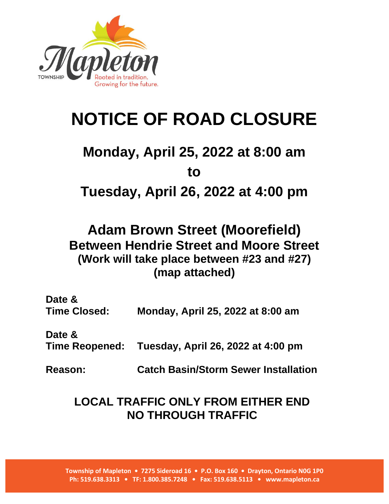

## **NOTICE OF ROAD CLOSURE**

## **Monday, April 25, 2022 at 8:00 am to**

**Tuesday, April 26, 2022 at 4:00 pm**

**Adam Brown Street (Moorefield) Between Hendrie Street and Moore Street (Work will take place between #23 and #27) (map attached)**

| Date &<br><b>Time Closed:</b> | Monday, April 25, 2022 at 8:00 am                 |
|-------------------------------|---------------------------------------------------|
| Date &                        | Time Reopened: Tuesday, April 26, 2022 at 4:00 pm |
| <b>Reason:</b>                | <b>Catch Basin/Storm Sewer Installation</b>       |

## **LOCAL TRAFFIC ONLY FROM EITHER END NO THROUGH TRAFFIC**

**Township of Mapleton • 7275 Sideroad 16 • P.O. Box 160 • Drayton, Ontario N0G 1P0 Ph: 519.638.3313 • TF: 1.800.385.7248 • Fax: 519.638.5113 • www.mapleton.ca**